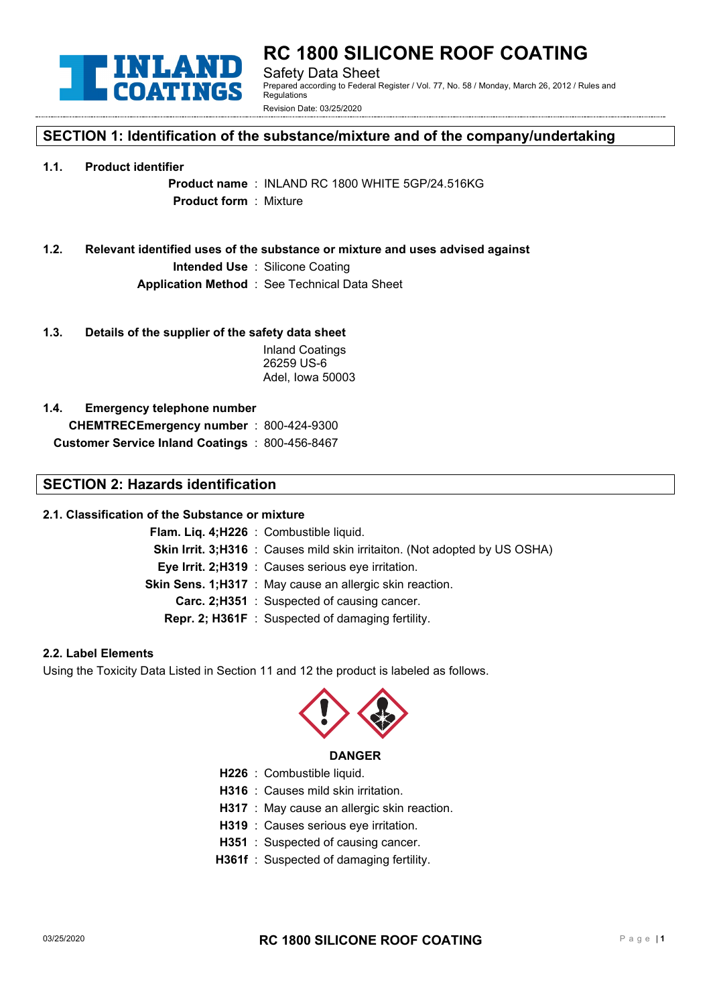

# **SECTION 1: Identification of the substance/mixture and of the company/undertaking**

**1.1. Product identifier**

**Product name** : INLAND RC 1800 WHITE 5GP/24.516KG **Product form** : Mixture

**1.2. Relevant identified uses of the substance or mixture and uses advised against Intended Use** : Silicone Coating **Application Method** : See Technical Data Sheet

**1.3. Details of the supplier of the safety data sheet**

Inland Coatings 26259 US-6 Adel, Iowa 50003

**1.4. Emergency telephone number CHEMTRECEmergency number** : 800-424-9300 **Customer Service Inland Coatings** : 800-456-8467

# **SECTION 2: Hazards identification**

## **2.1. Classification of the Substance or mixture**

|  | Flam. Lig. 4;H226 : Combustible liquid.                                           |
|--|-----------------------------------------------------------------------------------|
|  | <b>Skin Irrit. 3;H316</b> : Causes mild skin irritaiton. (Not adopted by US OSHA) |
|  | Eye Irrit. 2;H319 : Causes serious eye irritation.                                |
|  | <b>Skin Sens. 1;H317</b> : May cause an allergic skin reaction.                   |
|  | Carc. 2;H351: Suspected of causing cancer.                                        |
|  | <b>Repr. 2; H361F</b> : Suspected of damaging fertility.                          |

### **2.2. Label Elements**

Using the Toxicity Data Listed in Section 11 and 12 the product is labeled as follows.



#### **DANGER**

**H226** : Combustible liquid.

- **H316** : Causes mild skin irritation.
- **H317** : May cause an allergic skin reaction.
- **H319** : Causes serious eye irritation.
- **H351** : Suspected of causing cancer.
- **H361f** : Suspected of damaging fertility.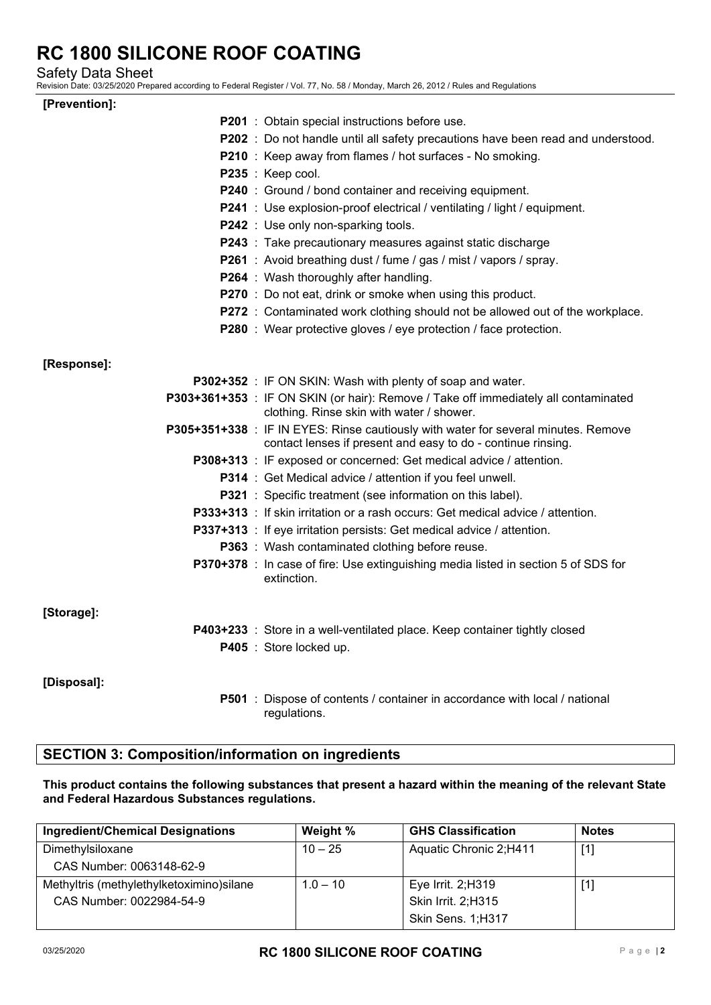Safety Data Sheet

Revision Date: 03/25/2020 Prepared according to Federal Register / Vol. 77, No. 58 / Monday, March 26, 2012 / Rules and Regulations

| [Prevention]: |                                                                                                                                                    |
|---------------|----------------------------------------------------------------------------------------------------------------------------------------------------|
|               | <b>P201</b> : Obtain special instructions before use.                                                                                              |
|               | <b>P202</b> : Do not handle until all safety precautions have been read and understood.                                                            |
|               | <b>P210</b> : Keep away from flames / hot surfaces - No smoking.                                                                                   |
|               | P235 : Keep cool.                                                                                                                                  |
|               | <b>P240</b> : Ground / bond container and receiving equipment.                                                                                     |
|               | <b>P241</b> : Use explosion-proof electrical / ventilating / light / equipment.                                                                    |
|               | <b>P242</b> : Use only non-sparking tools.                                                                                                         |
|               | <b>P243</b> : Take precautionary measures against static discharge                                                                                 |
|               | <b>P261</b> : Avoid breathing dust / fume / gas / mist / vapors / spray.                                                                           |
|               | <b>P264</b> : Wash thoroughly after handling.                                                                                                      |
|               | <b>P270</b> : Do not eat, drink or smoke when using this product.                                                                                  |
|               | <b>P272</b> : Contaminated work clothing should not be allowed out of the workplace.                                                               |
|               | <b>P280</b> : Wear protective gloves / eye protection / face protection.                                                                           |
|               |                                                                                                                                                    |
| [Response]:   |                                                                                                                                                    |
|               | P302+352 : IF ON SKIN: Wash with plenty of soap and water.                                                                                         |
|               | P303+361+353 : IF ON SKIN (or hair): Remove / Take off immediately all contaminated<br>clothing. Rinse skin with water / shower.                   |
|               | P305+351+338 : IF IN EYES: Rinse cautiously with water for several minutes. Remove<br>contact lenses if present and easy to do - continue rinsing. |
|               | P308+313 : IF exposed or concerned: Get medical advice / attention.                                                                                |
|               | <b>P314</b> : Get Medical advice / attention if you feel unwell.                                                                                   |
|               | P321 : Specific treatment (see information on this label).                                                                                         |
|               | <b>P333+313</b> : If skin irritation or a rash occurs: Get medical advice / attention.                                                             |
|               | <b>P337+313</b> : If eye irritation persists: Get medical advice / attention.                                                                      |
|               | <b>P363</b> : Wash contaminated clothing before reuse.                                                                                             |
|               | <b>P370+378</b> : In case of fire: Use extinguishing media listed in section 5 of SDS for<br>extinction.                                           |
| [Storage]:    |                                                                                                                                                    |
|               | P403+233 : Store in a well-ventilated place. Keep container tightly closed                                                                         |
|               | <b>P405</b> : Store locked up.                                                                                                                     |
| [Disposal]:   |                                                                                                                                                    |
|               | <b>P501</b> : Dispose of contents / container in accordance with local / national<br>regulations.                                                  |

## **SECTION 3: Composition/information on ingredients**

**This product contains the following substances that present a hazard within the meaning of the relevant State and Federal Hazardous Substances regulations.** 

| <b>Ingredient/Chemical Designations</b>   | Weight %   | <b>GHS Classification</b> | <b>Notes</b>      |
|-------------------------------------------|------------|---------------------------|-------------------|
| Dimethylsiloxane                          | $10 - 25$  | Aquatic Chronic 2;H411    | $\lceil 1 \rceil$ |
| CAS Number: 0063148-62-9                  |            |                           |                   |
| Methyltris (methylethylketoximino) silane | $1.0 - 10$ | Eye Irrit. 2;H319         | $[1]$             |
| CAS Number: 0022984-54-9                  |            | Skin Irrit. 2;H315        |                   |
|                                           |            | Skin Sens. 1;H317         |                   |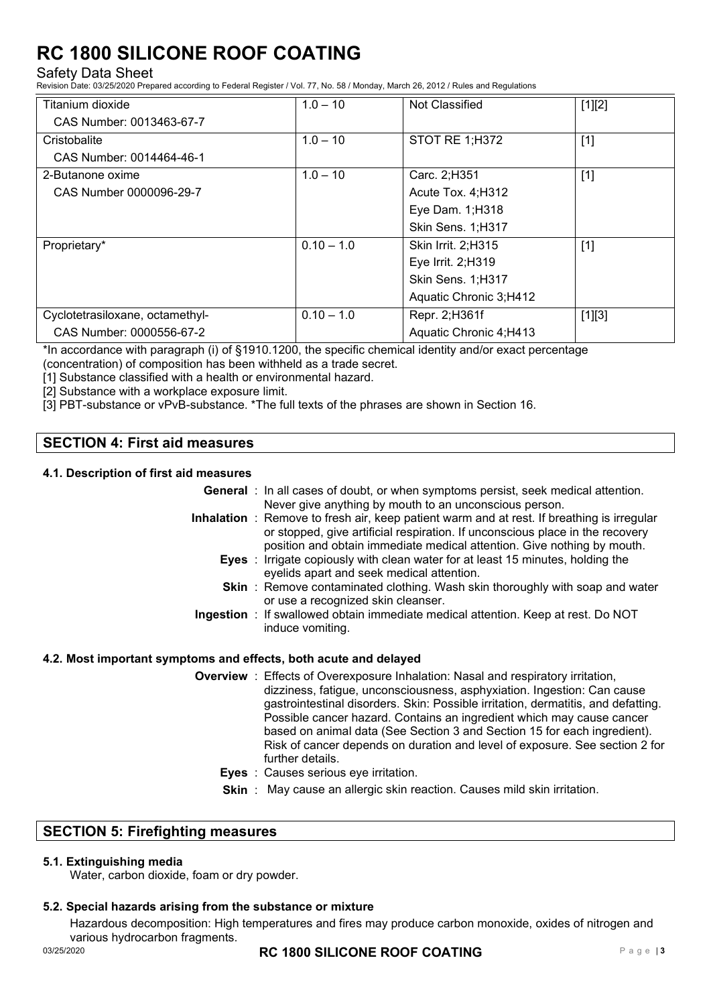## Safety Data Sheet

Revision Date: 03/25/2020 Prepared according to Federal Register / Vol. 77, No. 58 / Monday, March 26, 2012 / Rules and Regulations

| Titanium dioxide                | $1.0 - 10$   | Not Classified         | $[1][2]$ |
|---------------------------------|--------------|------------------------|----------|
| CAS Number: 0013463-67-7        |              |                        |          |
| Cristobalite                    | $1.0 - 10$   | STOT RE 1;H372         | $[1]$    |
| CAS Number: 0014464-46-1        |              |                        |          |
| 2-Butanone oxime                | $1.0 - 10$   | Carc. 2;H351           | $[1]$    |
| CAS Number 0000096-29-7         |              | Acute Tox. 4; H312     |          |
|                                 |              | Eye Dam. 1; H318       |          |
|                                 |              | Skin Sens. 1;H317      |          |
| Proprietary*                    | $0.10 - 1.0$ | Skin Irrit. 2;H315     | $[1]$    |
|                                 |              | Eye Irrit. 2;H319      |          |
|                                 |              | Skin Sens. 1;H317      |          |
|                                 |              | Aquatic Chronic 3;H412 |          |
| Cyclotetrasiloxane, octamethyl- | $0.10 - 1.0$ | Repr. 2; H361f         | $[1][3]$ |
| CAS Number: 0000556-67-2        |              | Aquatic Chronic 4;H413 |          |

\*In accordance with paragraph (i) of §1910.1200, the specific chemical identity and/or exact percentage (concentration) of composition has been withheld as a trade secret.

[1] Substance classified with a health or environmental hazard.

[2] Substance with a workplace exposure limit.

[3] PBT-substance or vPvB-substance. \*The full texts of the phrases are shown in Section 16.

# **SECTION 4: First aid measures**

### **4.1. Description of first aid measures**

| <b>General</b> : In all cases of doubt, or when symptoms persist, seek medical attention.  |
|--------------------------------------------------------------------------------------------|
| Never give anything by mouth to an unconscious person.                                     |
| Inhalation : Remove to fresh air, keep patient warm and at rest. If breathing is irregular |
| or stopped, give artificial respiration. If unconscious place in the recovery              |
| position and obtain immediate medical attention. Give nothing by mouth.                    |
| Eyes : Irrigate copiously with clean water for at least 15 minutes, holding the            |
| eyelids apart and seek medical attention.                                                  |
| Skin: Remove contaminated clothing. Wash skin thoroughly with soap and water               |
| or use a recognized skin cleanser.                                                         |
| Ingestion : If swallowed obtain immediate medical attention. Keep at rest. Do NOT          |
| induce vomiting.                                                                           |
|                                                                                            |

## **4.2. Most important symptoms and effects, both acute and delayed**

- **Overview** : Effects of Overexposure Inhalation: Nasal and respiratory irritation, dizziness, fatigue, unconsciousness, asphyxiation. Ingestion: Can cause gastrointestinal disorders. Skin: Possible irritation, dermatitis, and defatting. Possible cancer hazard. Contains an ingredient which may cause cancer based on animal data (See Section 3 and Section 15 for each ingredient). Risk of cancer depends on duration and level of exposure. See section 2 for further details.
	- **Eyes** : Causes serious eye irritation.
	- **Skin** : May cause an allergic skin reaction. Causes mild skin irritation.

## **SECTION 5: Firefighting measures**

### **5.1. Extinguishing media**

Water, carbon dioxide, foam or dry powder.

## **5.2. Special hazards arising from the substance or mixture**

Hazardous decomposition: High temperatures and fires may produce carbon monoxide, oxides of nitrogen and various hydrocarbon fragments.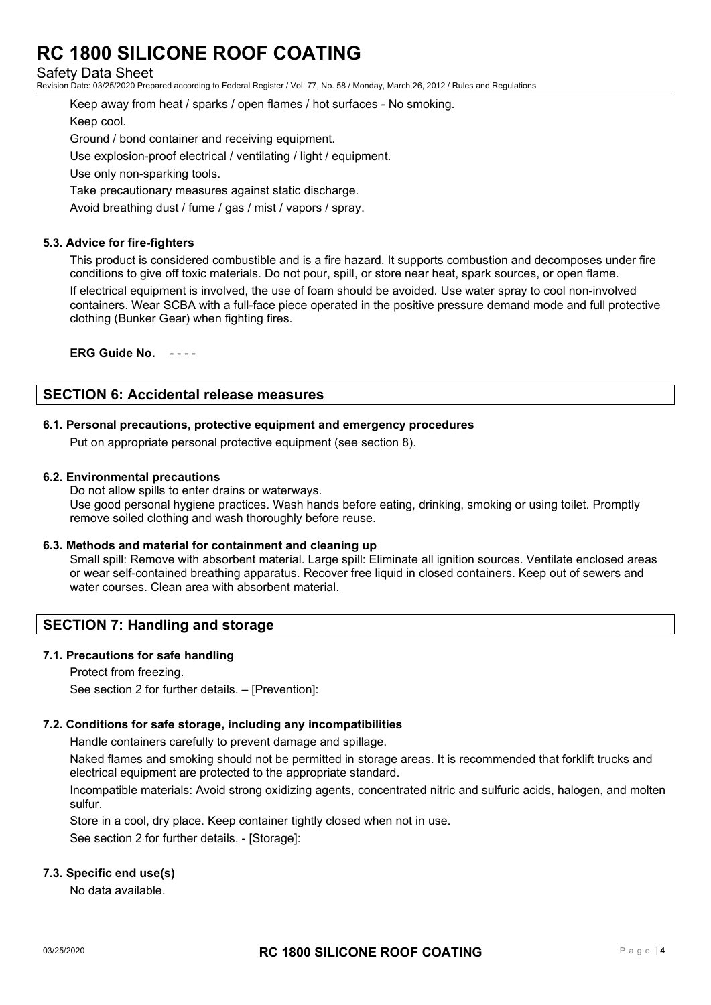Safety Data Sheet

Revision Date: 03/25/2020 Prepared according to Federal Register / Vol. 77, No. 58 / Monday, March 26, 2012 / Rules and Regulations

#### Keep away from heat / sparks / open flames / hot surfaces - No smoking.

Keep cool.

Ground / bond container and receiving equipment.

Use explosion-proof electrical / ventilating / light / equipment.

Use only non-sparking tools.

Take precautionary measures against static discharge.

Avoid breathing dust / fume / gas / mist / vapors / spray.

### **5.3. Advice for fire-fighters**

This product is considered combustible and is a fire hazard. It supports combustion and decomposes under fire conditions to give off toxic materials. Do not pour, spill, or store near heat, spark sources, or open flame. If electrical equipment is involved, the use of foam should be avoided. Use water spray to cool non-involved containers. Wear SCBA with a full-face piece operated in the positive pressure demand mode and full protective clothing (Bunker Gear) when fighting fires.

**ERG Guide No.** - - - -

## **SECTION 6: Accidental release measures**

### **6.1. Personal precautions, protective equipment and emergency procedures**

Put on appropriate personal protective equipment (see section 8).

### **6.2. Environmental precautions**

Do not allow spills to enter drains or waterways. Use good personal hygiene practices. Wash hands before eating, drinking, smoking or using toilet. Promptly remove soiled clothing and wash thoroughly before reuse.

### **6.3. Methods and material for containment and cleaning up**

Small spill: Remove with absorbent material. Large spill: Eliminate all ignition sources. Ventilate enclosed areas or wear self-contained breathing apparatus. Recover free liquid in closed containers. Keep out of sewers and water courses. Clean area with absorbent material.

# **SECTION 7: Handling and storage**

### **7.1. Precautions for safe handling**

Protect from freezing.

See section 2 for further details. – [Prevention]:

## **7.2. Conditions for safe storage, including any incompatibilities**

Handle containers carefully to prevent damage and spillage.

Naked flames and smoking should not be permitted in storage areas. It is recommended that forklift trucks and electrical equipment are protected to the appropriate standard.

Incompatible materials: Avoid strong oxidizing agents, concentrated nitric and sulfuric acids, halogen, and molten sulfur.

Store in a cool, dry place. Keep container tightly closed when not in use.

See section 2 for further details. - [Storage]:

### **7.3. Specific end use(s)**

No data available.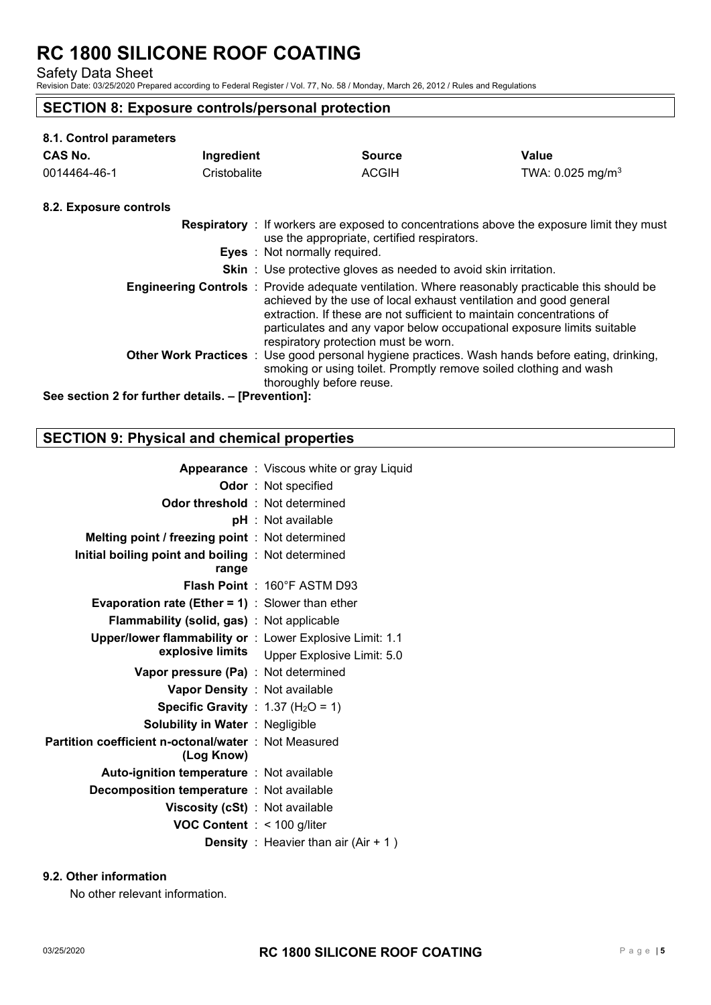Safety Data Sheet

Revision Date: 03/25/2020 Prepared according to Federal Register / Vol. 77, No. 58 / Monday, March 26, 2012 / Rules and Regulations

## **SECTION 8: Exposure controls/personal protection**

### **8.1. Control parameters**

| <b>CAS No.</b> | Ingredient   | <b>Source</b> | Value                          |
|----------------|--------------|---------------|--------------------------------|
| 0014464-46-1   | Cristobalite | <b>ACGIH</b>  | TWA: $0.025$ mg/m <sup>3</sup> |

### **8.2. Exposure controls**

|                                           | <b>Respiratory</b> : If workers are exposed to concentrations above the exposure limit they must<br>use the appropriate, certified respirators.                                                                                                                                                                                                                         |
|-------------------------------------------|-------------------------------------------------------------------------------------------------------------------------------------------------------------------------------------------------------------------------------------------------------------------------------------------------------------------------------------------------------------------------|
|                                           | Eyes: Not normally required.                                                                                                                                                                                                                                                                                                                                            |
|                                           | <b>Skin</b> : Use protective gloves as needed to avoid skin irritation.                                                                                                                                                                                                                                                                                                 |
|                                           | <b>Engineering Controls</b> : Provide adequate ventilation. Where reasonably practicable this should be<br>achieved by the use of local exhaust ventilation and good general<br>extraction. If these are not sufficient to maintain concentrations of<br>particulates and any vapor below occupational exposure limits suitable<br>respiratory protection must be worn. |
|                                           | <b>Other Work Practices</b> : Use good personal hygiene practices. Wash hands before eating, drinking,<br>smoking or using toilet. Promptly remove soiled clothing and wash<br>thoroughly before reuse.                                                                                                                                                                 |
| ion 2 for further details _ [Provention]: |                                                                                                                                                                                                                                                                                                                                                                         |

**See section 2 for further details. – [Prevention]:**

# **SECTION 9: Physical and chemical properties**

|                                                                   | <b>Appearance</b> : Viscous white or gray Liquid |
|-------------------------------------------------------------------|--------------------------------------------------|
|                                                                   | <b>Odor</b> : Not specified                      |
| <b>Odor threshold</b> : Not determined                            |                                                  |
|                                                                   | pH : Not available                               |
| <b>Melting point / freezing point : Not determined</b>            |                                                  |
| Initial boiling point and boiling : Not determined<br>range       |                                                  |
|                                                                   | <b>Flash Point: 160°F ASTM D93</b>               |
| <b>Evaporation rate (Ether = 1)</b> : Slower than ether           |                                                  |
| <b>Flammability (solid, gas)</b> : Not applicable                 |                                                  |
| Upper/lower flammability or : Lower Explosive Limit: 1.1          |                                                  |
| explosive limits                                                  | Upper Explosive Limit: 5.0                       |
| Vapor pressure (Pa) : Not determined                              |                                                  |
| Vapor Density : Not available                                     |                                                  |
| <b>Specific Gravity</b> : 1.37 (H <sub>2</sub> O = 1)             |                                                  |
| <b>Solubility in Water: Negligible</b>                            |                                                  |
| Partition coefficient n-octonal/water: Not Measured<br>(Log Know) |                                                  |
| <b>Auto-ignition temperature : Not available</b>                  |                                                  |
| <b>Decomposition temperature : Not available</b>                  |                                                  |
| Viscosity (cSt): Not available                                    |                                                  |
| <b>VOC Content</b> : < 100 g/liter                                |                                                  |
|                                                                   | <b>Density</b> : Heavier than air $(Air + 1)$    |

### **9.2. Other information**

No other relevant information.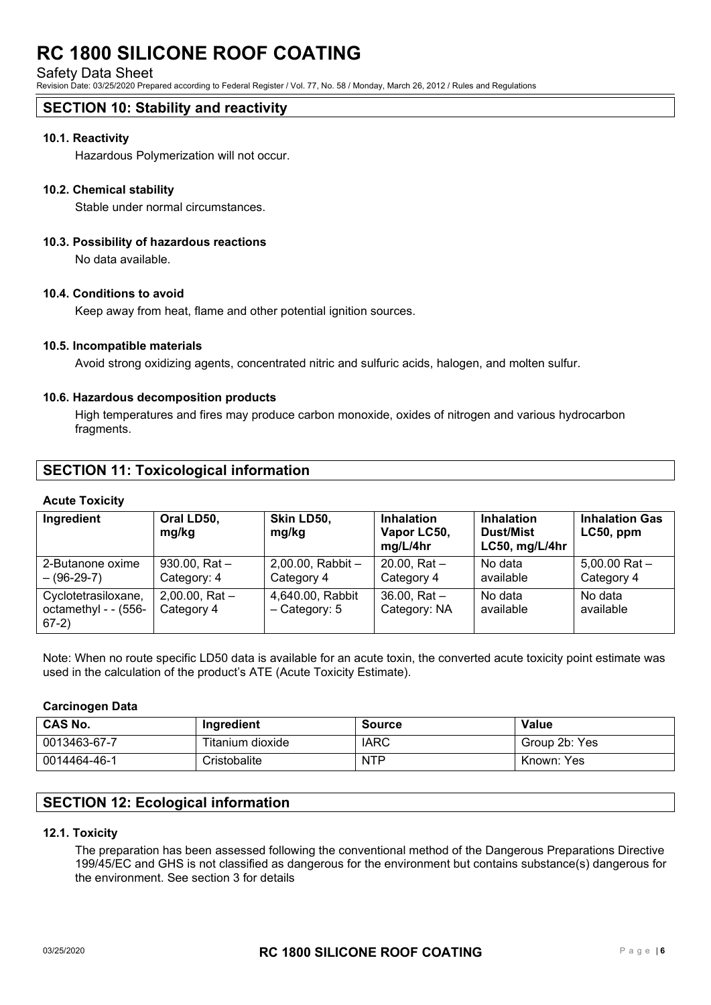Safety Data Sheet

Revision Date: 03/25/2020 Prepared according to Federal Register / Vol. 77, No. 58 / Monday, March 26, 2012 / Rules and Regulations

# **SECTION 10: Stability and reactivity**

### **10.1. Reactivity**

Hazardous Polymerization will not occur.

### **10.2. Chemical stability**

Stable under normal circumstances.

### **10.3. Possibility of hazardous reactions**

No data available.

## **10.4. Conditions to avoid**

Keep away from heat, flame and other potential ignition sources.

### **10.5. Incompatible materials**

Avoid strong oxidizing agents, concentrated nitric and sulfuric acids, halogen, and molten sulfur.

### **10.6. Hazardous decomposition products**

High temperatures and fires may produce carbon monoxide, oxides of nitrogen and various hydrocarbon fragments.

## **SECTION 11: Toxicological information**

### **Acute Toxicity**

| Ingredient                                             | Oral LD50,<br>mg/kg               | Skin LD50,<br>mg/kg                 | <b>Inhalation</b><br>Vapor LC50,<br>mg/L/4hr | <b>Inhalation</b><br><b>Dust/Mist</b><br>LC50, mg/L/4hr | <b>Inhalation Gas</b><br>$LC50$ , ppm |
|--------------------------------------------------------|-----------------------------------|-------------------------------------|----------------------------------------------|---------------------------------------------------------|---------------------------------------|
| 2-Butanone oxime<br>$-(96-29-7)$                       | $930.00$ , Rat $-$<br>Category: 4 | $2,00.00$ , Rabbit -<br>Category 4  | 20.00, Rat $-$<br>Category 4                 | No data<br>available                                    | $5,00.00$ Rat $-$<br>Category 4       |
| Cyclotetrasiloxane,<br>octamethyl - - (556-<br>$67-2)$ | $2,00.00$ , Rat $-$<br>Category 4 | 4,640.00, Rabbit<br>$-$ Category: 5 | $36.00$ , Rat $-$<br>Category: NA            | No data<br>available                                    | No data<br>available                  |

Note: When no route specific LD50 data is available for an acute toxin, the converted acute toxicity point estimate was used in the calculation of the product's ATE (Acute Toxicity Estimate).

### **Carcinogen Data**

| <b>CAS No.</b> | Ingredient       | <b>Source</b> | <b>Value</b>  |
|----------------|------------------|---------------|---------------|
| 0013463-67-7   | Titanium dioxide | <b>IARC</b>   | Group 2b: Yes |
| 0014464-46-1   | Cristobalite     | <b>NTP</b>    | Known: Yes    |

# **SECTION 12: Ecological information**

### **12.1. Toxicity**

The preparation has been assessed following the conventional method of the Dangerous Preparations Directive 199/45/EC and GHS is not classified as dangerous for the environment but contains substance(s) dangerous for the environment. See section 3 for details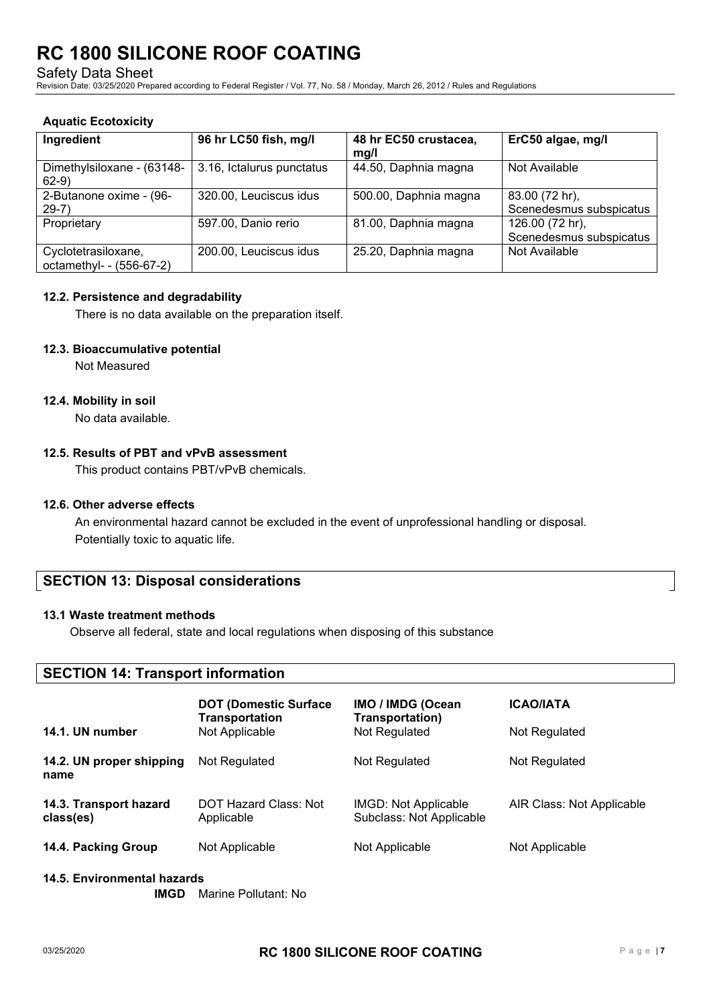Safety Data Sheet

Revision Date: 03/25/2020 Prepared according to Federal Register / Vol. 77, No. 58 / Monday, March 26, 2012 / Rules and Regulations

| Ingredient                                      | 96 hr LC50 fish, mg/l     | 48 hr EC50 crustacea,<br>mg/l | ErC50 algae, mg/l                          |
|-------------------------------------------------|---------------------------|-------------------------------|--------------------------------------------|
| Dimethylsiloxane - (63148-<br>$62-9)$           | 3.16, Ictalurus punctatus | 44.50, Daphnia magna          | Not Available                              |
| 2-Butanone oxime - (96-<br>$29-7)$              | 320.00, Leuciscus idus    | 500.00, Daphnia magna         | 83.00 (72 hr),<br>Scenedesmus subspicatus  |
| Proprietary                                     | 597.00, Danio rerio       | 81.00, Daphnia magna          | 126.00 (72 hr),<br>Scenedesmus subspicatus |
| Cyclotetrasiloxane,<br>octamethyl- - (556-67-2) | 200.00, Leuciscus idus    | 25.20, Daphnia magna          | Not Available                              |

## **Aquatic Ecotoxicity**

### **12.2. Persistence and degradability**

There is no data available on the preparation itself.

### **12.3. Bioaccumulative potential**

Not Measured

### **12.4. Mobility in soil**

No data available.

## **12.5. Results of PBT and vPvB assessment**

This product contains PBT/vPvB chemicals.

### **12.6. Other adverse effects**

An environmental hazard cannot be excluded in the event of unprofessional handling or disposal. Potentially toxic to aquatic life.

## **SECTION 13: Disposal considerations**

## **13.1 Waste treatment methods**

Observe all federal, state and local regulations when disposing of this substance

## **SECTION 14: Transport information**

| 14.1. UN number                     | <b>DOT (Domestic Surface</b><br><b>Transportation</b><br>Not Applicable | <b>IMO / IMDG (Ocean</b><br>Transportation)<br>Not Regulated | <b>ICAO/IATA</b><br>Not Regulated |
|-------------------------------------|-------------------------------------------------------------------------|--------------------------------------------------------------|-----------------------------------|
| 14.2. UN proper shipping<br>name    | Not Regulated                                                           | Not Regulated                                                | Not Regulated                     |
| 14.3. Transport hazard<br>class(es) | DOT Hazard Class: Not<br>Applicable                                     | IMGD: Not Applicable<br>Subclass: Not Applicable             | AIR Class: Not Applicable         |
| 14.4. Packing Group                 | Not Applicable                                                          | Not Applicable                                               | Not Applicable                    |

## **14.5. Environmental hazards**

**IMGD** Marine Pollutant: No